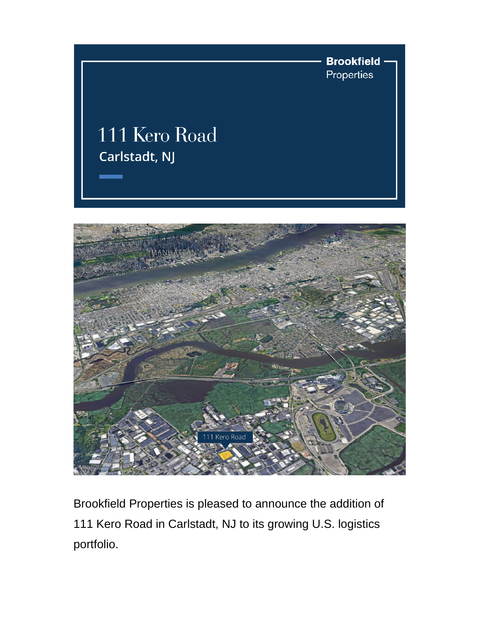



Brookfield Properties is pleased to announce the addition of 111 Kero Road in Carlstadt, NJ to its growing U.S. logistics portfolio.